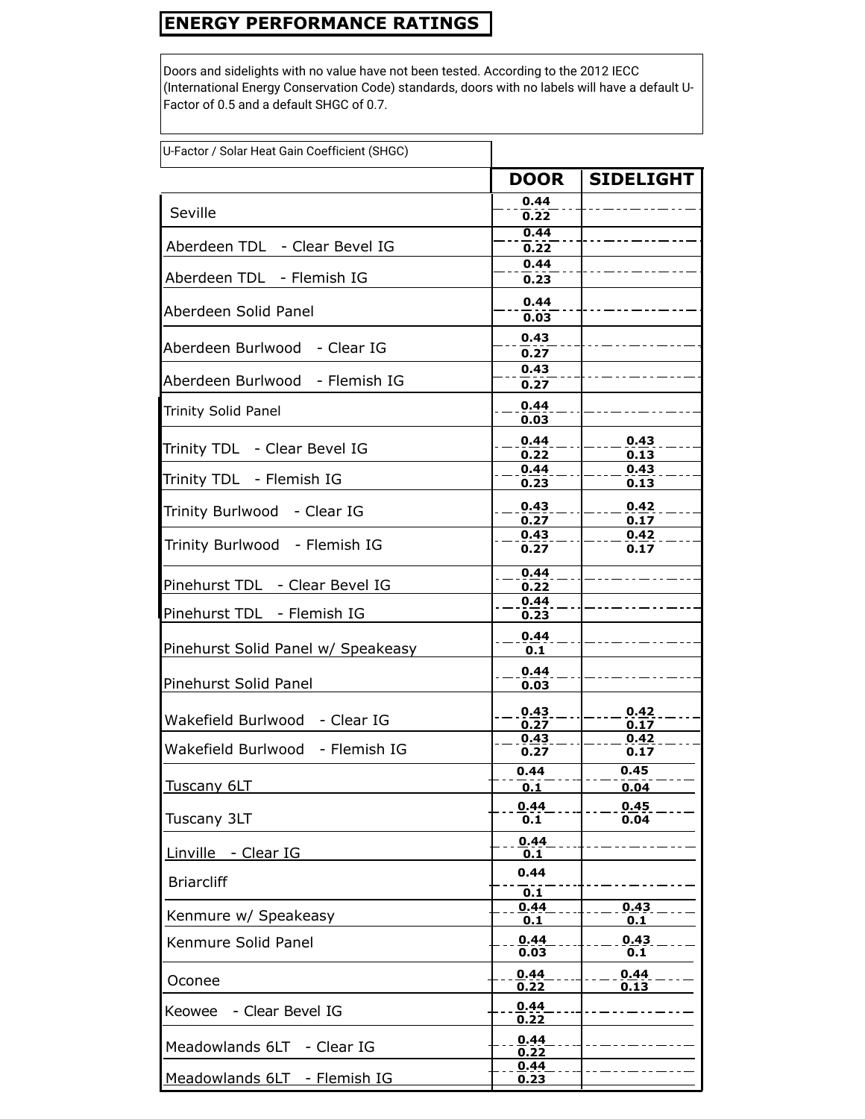## **ENERGY PERFORMANCE RATINGS**

Doors and sidelights with no value have not been tested. According to the 2012 IECC (International Energy Conservation Code) standards, doors with no labels will have a default U-Factor of 0.5 and a default SHGC of 0.7.

| U-Factor / Solar Heat Gain Coefficient (SHGC) |              |                  |
|-----------------------------------------------|--------------|------------------|
|                                               | <b>DOOR</b>  | <b>SIDELIGHT</b> |
| Seville                                       | 0.44<br>0.22 |                  |
|                                               | 0.44         |                  |
| Aberdeen TDL - Clear Bevel IG                 | 0.22<br>0.44 |                  |
| Aberdeen TDL - Flemish IG                     | 0.23         |                  |
| Aberdeen Solid Panel                          | 0.44<br>0.03 |                  |
| Aberdeen Burlwood - Clear IG                  | 0.43<br>0.27 |                  |
| Aberdeen Burlwood - Flemish IG                | 0.43<br>0.27 |                  |
| Trinity Solid Panel                           | 0.44<br>0.03 |                  |
| Trinity TDL - Clear Bevel IG                  | 0.44<br>0.22 | 0.43<br>0.13     |
| Trinity TDL - Flemish IG                      | 0.44<br>0.23 | 0.43<br>0.13     |
| Trinity Burlwood - Clear IG                   | 0.43<br>0.27 | 0.42<br>0.17     |
| Trinity Burlwood - Flemish IG                 | 0.43<br>0.27 | 0.42<br>0.17     |
| Pinehurst TDL - Clear Bevel IG                | 0.44<br>0.22 |                  |
| Pinehurst TDL - Flemish IG                    | 0.44<br>0.23 |                  |
| Pinehurst Solid Panel w/ Speakeasy            | 0.44<br>0.1  |                  |
| Pinehurst Solid Panel                         | 0.44<br>0.03 |                  |
| Wakefield Burlwood - Clear IG                 | 0.43<br>0.27 | 0.42<br>0.17     |
| Wakefield Burlwood - Flemish IG               | 0.43<br>0.27 | 0.42<br>0.17     |
| Tuscany 6LT                                   | 0.44<br>0.1  | 0.45<br>0.04     |
| Tuscany 3LT                                   | 0.44<br>0.1  | 0.45<br>0.04     |
| Linville - Clear IG                           | 0.44<br>0.1  |                  |
| <b>Briarcliff</b>                             | 0.44<br>0.1  |                  |
| Kenmure w/ Speakeasy                          | 0.44<br>0.1  | 0.43<br>0.1      |
| Kenmure Solid Panel                           | 0.44<br>0.03 | 0.43<br>0.1      |
| Oconee                                        | 0.44<br>0.22 | 0.44<br>0.13     |
| - Clear Bevel IG<br>Keowee                    | 0.44<br>0.22 |                  |
| Meadowlands 6LT<br>- Clear IG                 | 0.44<br>0.22 |                  |
| Meadowlands 6LT - Flemish IG                  | 0.44<br>0.23 |                  |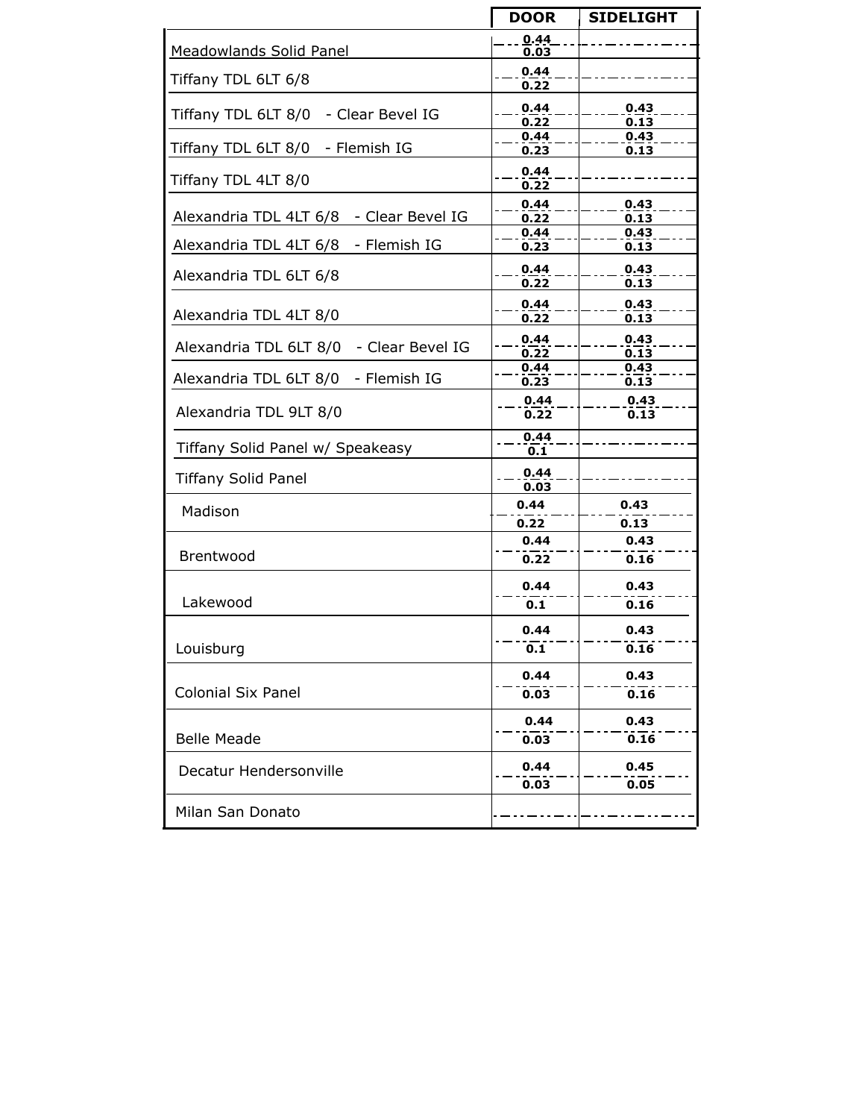|                                         | <b>DOOR</b>  | <b>SIDELIGHT</b>  |
|-----------------------------------------|--------------|-------------------|
| Meadowlands Solid Panel                 | 0.44<br>0.03 |                   |
| Tiffany TDL 6LT 6/8                     | 0.44         |                   |
|                                         | 0.22         |                   |
| Tiffany TDL 6LT 8/0 - Clear Bevel IG    | 0.44         | 0.43              |
|                                         | 0.22<br>0.44 | 0.13<br>0.43      |
| Tiffany TDL 6LT 8/0 - Flemish IG        | 0.23         | 0.13              |
|                                         | 0.44         |                   |
| Tiffany TDL 4LT 8/0                     | 0.22         |                   |
|                                         | 0.44         | 0.43              |
| Alexandria TDL 4LT 6/8 - Clear Bevel IG | 0.22         | $0.\overline{13}$ |
| Alexandria TDL 4LT 6/8 - Flemish IG     | 0.44<br>0.23 | 0.43<br>0.13      |
|                                         |              |                   |
| Alexandria TDL 6LT 6/8                  | 0.44<br>0.22 | 0.43<br>0.13      |
|                                         |              |                   |
| Alexandria TDL 4LT 8/0                  | 0.44<br>0.22 | 0.43<br>0.13      |
|                                         |              |                   |
| Alexandria TDL 6LT 8/0 - Clear Bevel IG | 0.44<br>0.22 | 0.43<br>0.13      |
|                                         | 0.44         | 0.43              |
| Alexandria TDL 6LT 8/0 - Flemish IG     | 0.23         | 0.13              |
|                                         | 0.44         | 0.43              |
| Alexandria TDL 9LT 8/0                  | 0.22         | 0.13              |
|                                         | 0.44         |                   |
| Tiffany Solid Panel w/ Speakeasy        | 0.1          |                   |
| <b>Tiffany Solid Panel</b>              | 0.44         |                   |
|                                         | 0.03         |                   |
| Madison                                 | 0.44         | 0.43              |
|                                         | 0.22         | 0.13              |
|                                         | 0.44         | 0.43              |
| Brentwood                               | 0.22         | 0.16              |
|                                         | 0.44         | 0.43              |
| Lakewood                                | 0.1          | 0.16              |
|                                         | 0.44         | 0.43              |
| Louisburg                               | 0.1          | 0.16              |
|                                         |              |                   |
|                                         | 0.44         | 0.43              |
| <b>Colonial Six Panel</b>               | 0.03         | 0.16              |
|                                         | 0.44         | 0.43              |
| <b>Belle Meade</b>                      | 0.03         | 0.16              |
| Decatur Hendersonville                  | 0.44         | 0.45              |
|                                         | 0.03         | 0.05              |
| Milan San Donato                        |              |                   |